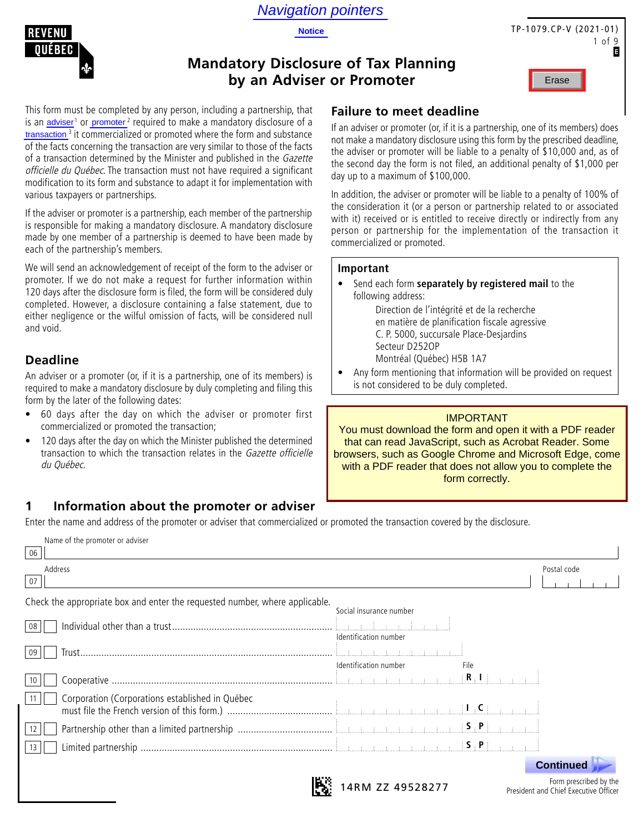**Navigation pointers** 

**Mandatory Disclosure of Tax Planning by an Adviser or Promoter**



TP-1079.CP-V (2021-01) 1 of 9<br>**E** 

#### Erase

This form must be completed by any person, including a partnership, that is an *adviser*<sup>1</sup> or *promoter*<sup>2</sup> required to make a mandatory disclosure of a transaction<sup>3</sup> it commercialized or promoted where the form and substance of the facts concerning the transaction are very similar to those of the facts of a transaction determined by the Minister and published in the Gazette officielle du Québec. The transaction must not have required a significant modification to its form and substance to adapt it for implementation with various taxpayers or partnerships.

If the adviser or promoter is a partnership, each member of the partnership is responsible for making a mandatory disclosure. A mandatory disclosure made by one member of a partnership is deemed to have been made by each of the partnership's members.

We will send an acknowledgement of receipt of the form to the adviser or promoter. If we do not make a request for further information within 120 days after the disclosure form is filed, the form will be considered duly completed. However, a disclosure containing a false statement, due to either negligence or the wilful omission of facts, will be considered null and void.

# **Deadline**

Name of the promoter or adviser

An adviser or a promoter (or, if it is a partnership, one of its members) is required to make a mandatory disclosure by duly completing and filing this form by the later of the following dates:

- 60 days after the day on which the adviser or promoter first commercialized or promoted the transaction;
- 120 days after the day on which the Minister published the determined transaction to which the transaction relates in the Gazette officielle du Québec.

# **1 Information about the promoter or adviser**

Enter the name and address of the promoter or adviser that commercialized or promoted the transaction covered by the disclosure.

| 06                                                                          |                         |                                                                 |
|-----------------------------------------------------------------------------|-------------------------|-----------------------------------------------------------------|
| Address                                                                     |                         | Postal code                                                     |
| 07                                                                          |                         |                                                                 |
| Check the appropriate box and enter the requested number, where applicable. |                         |                                                                 |
|                                                                             | Social insurance number |                                                                 |
|                                                                             |                         |                                                                 |
|                                                                             | Identification number   |                                                                 |
|                                                                             |                         |                                                                 |
|                                                                             | Identification number   | File                                                            |
|                                                                             |                         |                                                                 |
| Corporation (Corporations established in Québec                             |                         |                                                                 |
|                                                                             |                         |                                                                 |
|                                                                             |                         |                                                                 |
|                                                                             |                         |                                                                 |
|                                                                             |                         |                                                                 |
|                                                                             |                         | <b>Continued</b>                                                |
|                                                                             | 14RM ZZ 49528277        | Form prescribed by the<br>President and Chief Executive Officer |

# **Failure to meet deadline** If an adviser or promoter (or, if it is a partnership, one of its members) does

not make a mandatory disclosure using this form by the prescribed deadline, the adviser or promoter will be liable to a penalty of \$10,000 and, as of the second day the form is not filed, an additional penalty of \$1,000 per day up to a maximum of \$100,000.

In addition, the adviser or promoter will be liable to a penalty of 100% of the consideration it (or a person or partnership related to or associated with it) received or is entitled to receive directly or indirectly from any person or partnership for the implementation of the transaction it commercialized or promoted.

#### **Important**

• Send each form **separately by registered mail** to the following address:

> Direction de l'intégrité et de la recherche en matière de planification fiscale agressive C. P. 5000, succursale Place-Desjardins Secteur D252OP Montréal (Québec) H5B 1A7

• Any form mentioning that information will be provided on request is not considered to be duly completed.

#### IMPORTANT

You must download the form and open it with a PDF reader that can read JavaScript, such as Acrobat Reader. Some browsers, such as Google Chrome and Microsoft Edge, come with a PDF reader that does not allow you to complete the form correctly.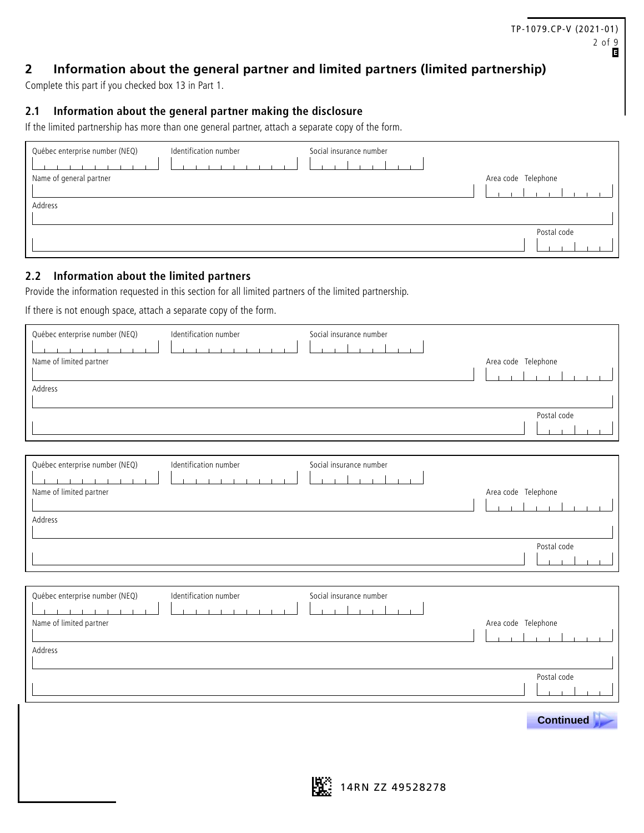# TP-1079.CP-V (2021-01) 2 of 9

# **2 Information about the general partner and limited partners (limited partnership)**

Complete this part if you checked box 13 in Part 1.

#### **2.1 Information about the general partner making the disclosure**

If the limited partnership has more than one general partner, attach a separate copy of the form.

| Identification number<br>Québec enterprise number (NEQ) | Social insurance number |                     |
|---------------------------------------------------------|-------------------------|---------------------|
| Name of general partner                                 |                         | Area code Telephone |
|                                                         |                         |                     |
| Address                                                 |                         |                     |
|                                                         |                         |                     |
|                                                         |                         | Postal code         |
|                                                         |                         |                     |

#### **2.2 Information about the limited partners**

Provide the information requested in this section for all limited partners of the limited partnership.

If there is not enough space, attach a separate copy of the form.

| Québec enterprise number (NEQ) | Identification number | Social insurance number |                     |
|--------------------------------|-----------------------|-------------------------|---------------------|
| Name of limited partner        |                       |                         | Area code Telephone |
| Address                        |                       |                         |                     |
|                                |                       |                         |                     |
|                                |                       |                         | Postal code         |

| Québec enterprise number (NEQ) | Identification number | Social insurance number |                     |
|--------------------------------|-----------------------|-------------------------|---------------------|
| Name of limited partner        |                       |                         | Area code Telephone |
|                                |                       |                         |                     |
| Address                        |                       |                         |                     |
|                                |                       |                         |                     |
|                                |                       |                         | Postal code         |
|                                |                       |                         |                     |

| Québec enterprise number (NEQ) | Identification number | Social insurance number |                     |
|--------------------------------|-----------------------|-------------------------|---------------------|
| Name of limited partner        |                       |                         | Area code Telephone |
|                                |                       |                         |                     |
| Address                        |                       |                         |                     |
|                                |                       |                         |                     |
|                                |                       |                         | Postal code         |
|                                |                       |                         |                     |
|                                |                       |                         | <b>Continued</b>    |

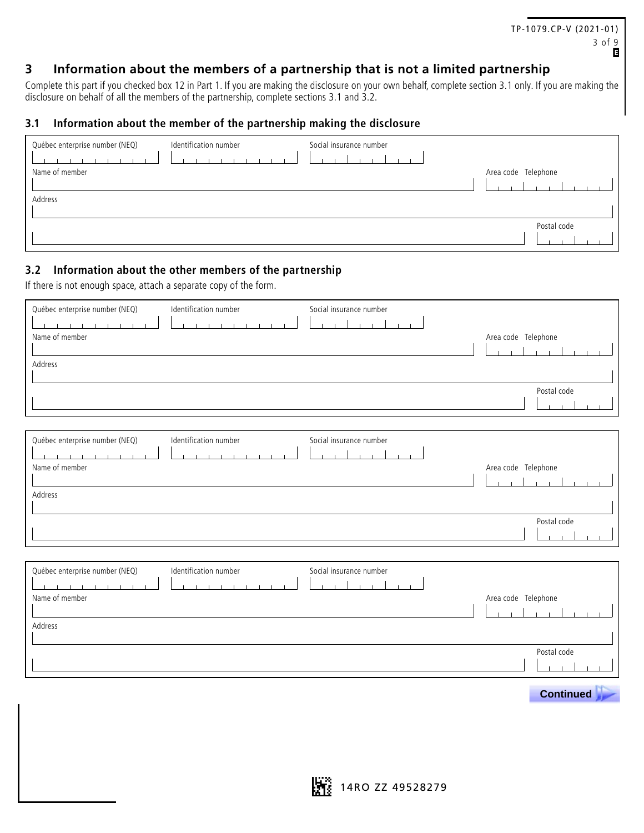TP-1079.CP-V (2021-01) 3 of 9

 **Continued .**

### **3 Information about the members of a partnership that is not a limited partnership**

Complete this part if you checked box 12 in Part 1. If you are making the disclosure on your own behalf, complete section 3.1 only. If you are making the disclosure on behalf of all the members of the partnership, complete sections 3.1 and 3.2.

#### **3.1 Information about the member of the partnership making the disclosure**

| Québec enterprise number (NEQ) | Identification number | Social insurance number |                     |
|--------------------------------|-----------------------|-------------------------|---------------------|
| Name of member                 |                       |                         | Area code Telephone |
|                                |                       |                         |                     |
| Address                        |                       |                         |                     |
|                                |                       |                         |                     |
|                                |                       |                         | Postal code         |
|                                |                       |                         |                     |

#### **3.2 Information about the other members of the partnership**

If there is not enough space, attach a separate copy of the form.

| Québec enterprise number (NEQ) | Identification number | Social insurance number |                     |
|--------------------------------|-----------------------|-------------------------|---------------------|
| Name of member                 |                       |                         | Area code Telephone |
|                                |                       |                         |                     |
| Address                        |                       |                         |                     |
|                                |                       |                         |                     |
|                                |                       |                         | Postal code         |
|                                |                       |                         |                     |

| Québec enterprise number (NEQ) | Identification number | Social insurance number |                     |
|--------------------------------|-----------------------|-------------------------|---------------------|
| Name of member                 |                       |                         | Area code Telephone |
|                                |                       |                         |                     |
| Address                        |                       |                         |                     |
|                                |                       |                         |                     |
|                                |                       |                         | Postal code         |
|                                |                       |                         |                     |

| Québec enterprise number (NEQ) | Identification number | Social insurance number |                     |
|--------------------------------|-----------------------|-------------------------|---------------------|
| Name of member                 |                       |                         | Area code Telephone |
| Address                        |                       |                         |                     |
|                                |                       |                         | Postal code         |
|                                |                       |                         | <b>Contractor</b>   |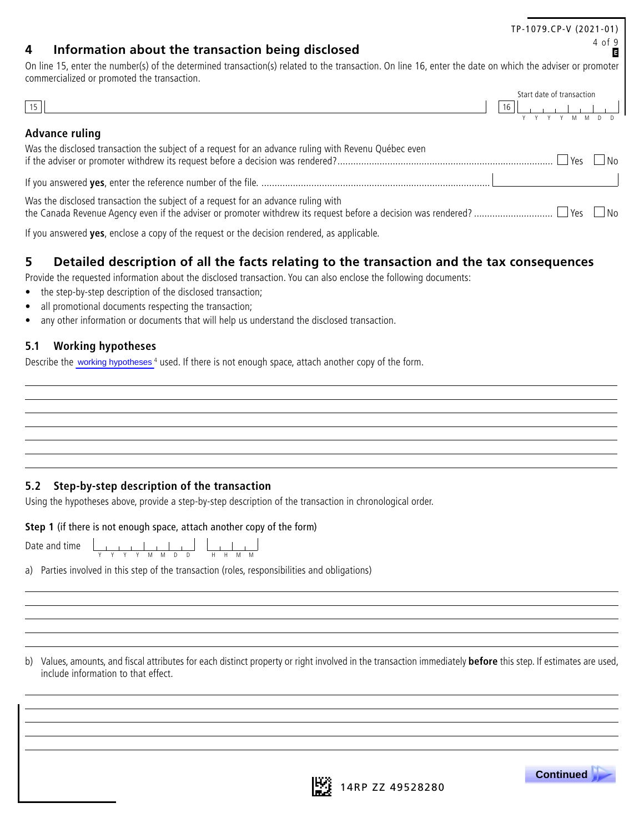# 4 of 9 **<sup>4</sup> Information about the transaction being disclosed**

On line 15, enter the number(s) of the determined transaction(s) related to the transaction. On line 16, enter the date on which the adviser or promoter commercialized or promoted the transaction.

|                                                                                                      |  |  |  |  | <u>Start uate or transdction</u> |  |  |
|------------------------------------------------------------------------------------------------------|--|--|--|--|----------------------------------|--|--|
| 15                                                                                                   |  |  |  |  |                                  |  |  |
|                                                                                                      |  |  |  |  | Y Y Y Y M M D D                  |  |  |
| <b>Advance ruling</b>                                                                                |  |  |  |  |                                  |  |  |
| Was the disclosed transaction the subject of a request for an advance ruling with Revenu Québec even |  |  |  |  |                                  |  |  |
| if the adviser or promoter withdrew its request before a decision was rendered?                      |  |  |  |  | $ V_{AC} $                       |  |  |

| Was the disclosed transaction the subject of a request for an advance ruling with |                |
|-----------------------------------------------------------------------------------|----------------|
|                                                                                   | N <sub>0</sub> |

If you answered **yes**, enclose a copy of the request or the decision rendered, as applicable.

## **5 Detailed description of all the facts relating to the transaction and the tax consequences**

Provide the requested information about the disclosed transaction. You can also enclose the following documents:

- the step-by-step description of the disclosed transaction;
- all promotional documents respecting the transaction;
- any other information or documents that will help us understand the disclosed transaction.

#### **5.1 Working hypotheses**

Describe the working hypotheses<sup>4</sup> used. If there is not enough space, attach another copy of the form.

#### **5.2 Step-by-step description of the transaction**

Using the hypotheses above, provide a step-by-step description of the transaction in chronological order.

#### **Step 1** (if there is not enough space, attach another copy of the form)

| Date and time |  |  |       |   |     |    |   |  |    |     |  |   |  |
|---------------|--|--|-------|---|-----|----|---|--|----|-----|--|---|--|
|               |  |  | y y y | M | - M | D. | Ð |  | н. | . н |  | M |  |

a) Parties involved in this step of the transaction (roles, responsibilities and obligations)

b) Values, amounts, and fiscal attributes for each distinct property or right involved in the transaction immediately **before** this step. If estimates are used, include information to that effect.



TP-1079.CP-V (2021-01)

Start date of transaction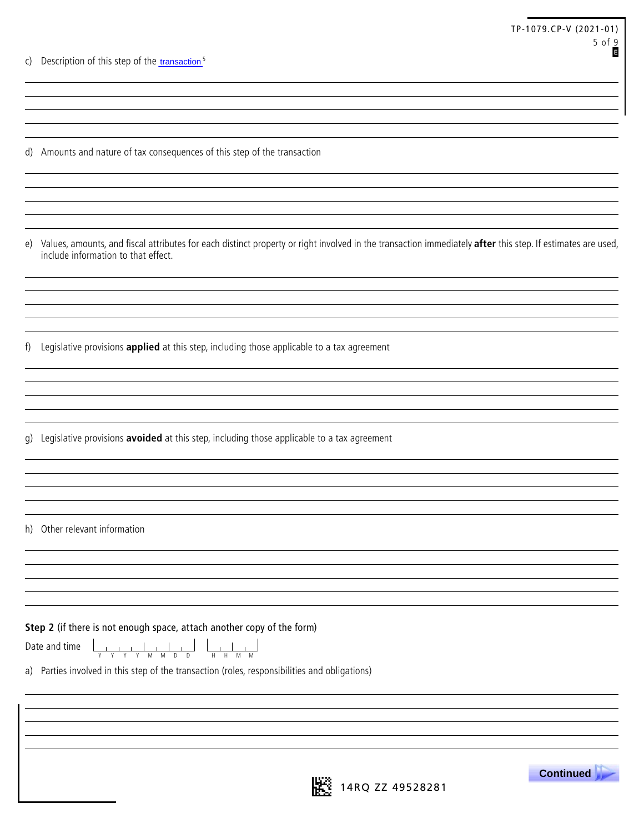c) Description of this step of the transaction<sup>5</sup>

d) Amounts and nature of tax consequences of this step of the transaction

e) Values, amounts, and fiscal attributes for each distinct property or right involved in the transaction immediately **after** this step. If estimates are used, include information to that effect.

f) Legislative provisions **applied** at this step, including those applicable to a tax agreement

g) Legislative provisions **avoided** at this step, including those applicable to a tax agreement

h) Other relevant information

**Step 2** (if there is not enough space, attach another copy of the form)<br>Date and time

| Date and time $\boxed{\phantom{a}}$ |  |  |  |  |  |               |  |
|-------------------------------------|--|--|--|--|--|---------------|--|
|                                     |  |  |  |  |  | YYYYMMDD HHMM |  |

a) Parties involved in this step of the transaction (roles, responsibilities and obligations)



**14RQ ZZ 49528281** 

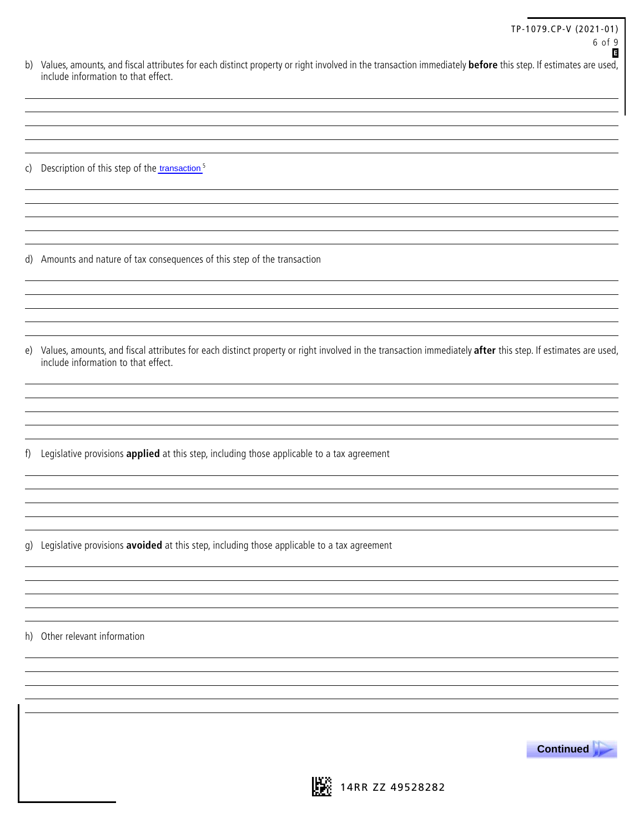b) Values, amounts, and fiscal attributes for each distinct property or right involved in the transaction immediately **before** this step. If estimates are used, include information to that effect.

c) Description of this step of the <u>transaction 5</u>

d) Amounts and nature of tax consequences of this step of the transaction

e) Values, amounts, and fiscal attributes for each distinct property or right involved in the transaction immediately **after** this step. If estimates are used, include information to that effect.

f) Legislative provisions **applied** at this step, including those applicable to a tax agreement

g) Legislative provisions **avoided** at this step, including those applicable to a tax agreement

h) Other relevant information



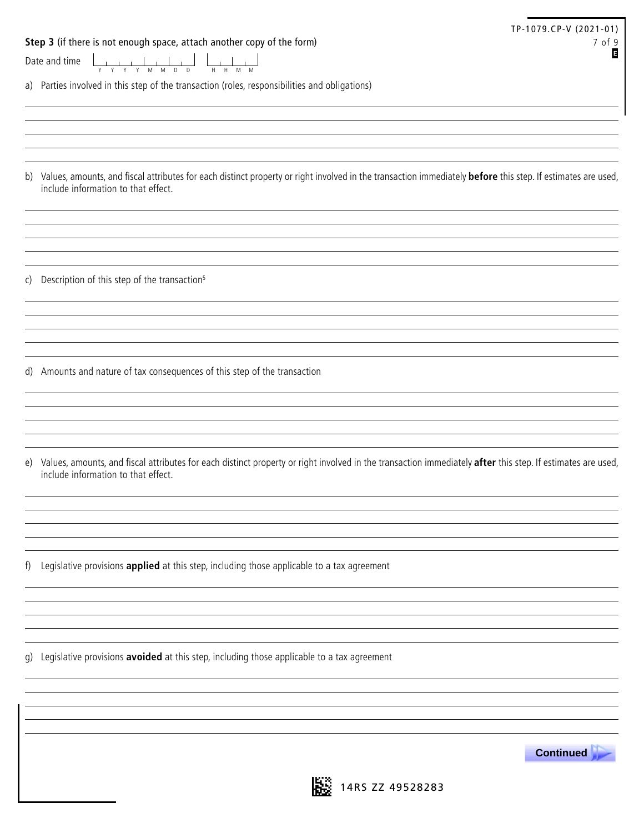|    | Step 3 (if there is not enough space, attach another copy of the form)                                                                                                                                | TP-1079.CP-V (2021-01)<br>7 of 9<br>G |
|----|-------------------------------------------------------------------------------------------------------------------------------------------------------------------------------------------------------|---------------------------------------|
|    | Date and time                                                                                                                                                                                         |                                       |
|    | a) Parties involved in this step of the transaction (roles, responsibilities and obligations)                                                                                                         |                                       |
|    | b) Values, amounts, and fiscal attributes for each distinct property or right involved in the transaction immediately before this step. If estimates are used,<br>include information to that effect. |                                       |
|    |                                                                                                                                                                                                       |                                       |
|    | c) Description of this step of the transaction <sup>5</sup>                                                                                                                                           |                                       |
|    | d) Amounts and nature of tax consequences of this step of the transaction                                                                                                                             |                                       |
|    | e) Values, amounts, and fiscal attributes for each distinct property or right involved in the transaction immediately after this step. If estimates are used,<br>include information to that effect.  |                                       |
| f) | Legislative provisions applied at this step, including those applicable to a tax agreement                                                                                                            |                                       |
|    | g) Legislative provisions avoided at this step, including those applicable to a tax agreement                                                                                                         |                                       |
|    |                                                                                                                                                                                                       | <b>Continued</b>                      |
|    | ISS.<br>14RS ZZ 49528283                                                                                                                                                                              |                                       |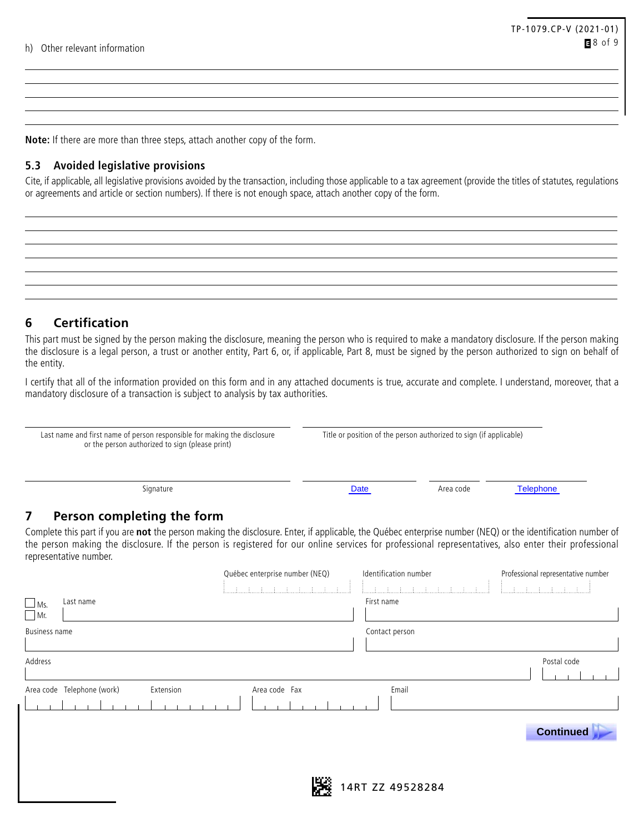**Note:** If there are more than three steps, attach another copy of the form.

#### **5.3 Avoided legislative provisions**

Cite, if applicable, all legislative provisions avoided by the transaction, including those applicable to a tax agreement (provide the titles of statutes, regulations or agreements and article or section numbers). If there is not enough space, attach another copy of the form.

,我们也不会有什么。""我们的人,我们也不会有什么?""我们的人,我们也不会有什么?""我们的人,我们也不会有什么?""我们的人,我们也不会有什么?""我们的人

## **6 Certification**

This part must be signed by the person making the disclosure, meaning the person who is required to make a mandatory disclosure. If the person making the disclosure is a legal person, a trust or another entity, Part 6, or, if applicable, Part 8, must be signed by the person authorized to sign on behalf of the entity.

I certify that all of the information provided on this form and in any attached documents is true, accurate and complete. I understand, moreover, that a mandatory disclosure of a transaction is subject to analysis by tax authorities.

| Last name and first name of person responsible for making the disclosure<br>or the person authorized to sign (please print) | Title or position of the person authorized to sign (if applicable) |           |                  |  |  |
|-----------------------------------------------------------------------------------------------------------------------------|--------------------------------------------------------------------|-----------|------------------|--|--|
| Signature                                                                                                                   | <u>Date</u>                                                        | Area code | <b>Telephone</b> |  |  |

## **7 Person completing the form**

Complete this part if you are **not** the person making the disclosure. Enter, if applicable, the Québec enterprise number (NEQ) or the identification number of the person making the disclosure. If the person is registered for our online services for professional representatives, also enter their professional representative number.

|                                         | Québec enterprise number (NEQ) | Identification number | Professional representative number |
|-----------------------------------------|--------------------------------|-----------------------|------------------------------------|
|                                         | ほうほうほうほうほうほう<br>- 11           | $\mathcal{L}$         |                                    |
| Last name<br>$\Box$ Ms.<br>$Mr$ .       |                                | First name            |                                    |
| <b>Business name</b>                    |                                | Contact person        |                                    |
| Address                                 |                                |                       | Postal code                        |
| Area code Telephone (work)<br>Extension | Area code Fax                  | Email                 |                                    |
|                                         |                                |                       | <b>Continued</b>                   |
|                                         |                                |                       |                                    |
|                                         | 醫                              | 14RT ZZ 49528284      |                                    |